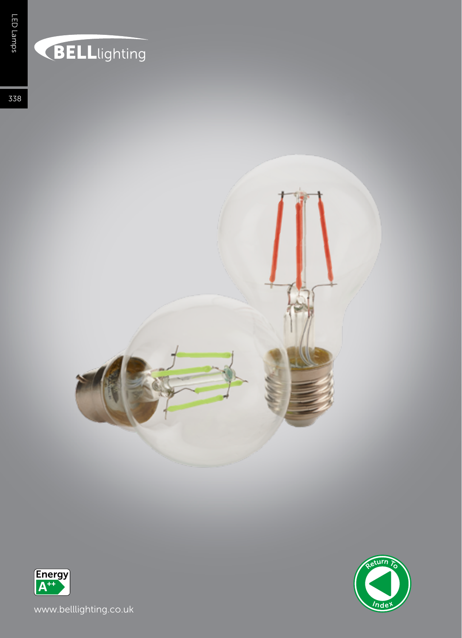## **BELL**lighting

338





www.belllighting.co.uk